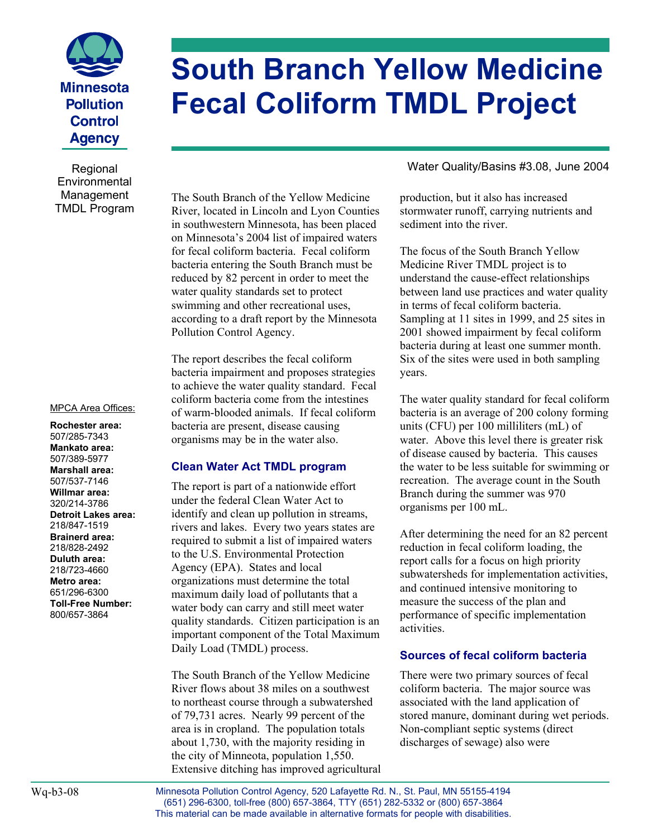

**Environmental** Management TMDL Program

#### MPCA Area Offices:

**Rochester area:**  507/285-7343 **Mankato area:**  507/389-5977 **Marshall area:**  507/537-7146 **Willmar area:**  320/214-3786 **Detroit Lakes area:**  218/847-1519 **Brainerd area:**  218/828-2492 **Duluth area:**  218/723-4660 **Metro area:**  651/296-6300 **Toll-Free Number:**  800/657-3864

# **South Branch Yellow Medicine Fecal Coliform TMDL Project**

The South Branch of the Yellow Medicine River, located in Lincoln and Lyon Counties in southwestern Minnesota, has been placed on Minnesota's 2004 list of impaired waters for fecal coliform bacteria. Fecal coliform bacteria entering the South Branch must be reduced by 82 percent in order to meet the water quality standards set to protect swimming and other recreational uses, according to a draft report by the Minnesota Pollution Control Agency.

The report describes the fecal coliform bacteria impairment and proposes strategies to achieve the water quality standard. Fecal coliform bacteria come from the intestines of warm-blooded animals. If fecal coliform bacteria are present, disease causing organisms may be in the water also.

#### **Clean Water Act TMDL program**

The report is part of a nationwide effort under the federal Clean Water Act to identify and clean up pollution in streams, rivers and lakes. Every two years states are required to submit a list of impaired waters to the U.S. Environmental Protection Agency (EPA). States and local organizations must determine the total maximum daily load of pollutants that a water body can carry and still meet water quality standards. Citizen participation is an important component of the Total Maximum Daily Load (TMDL) process.

The South Branch of the Yellow Medicine River flows about 38 miles on a southwest to northeast course through a subwatershed of 79,731 acres. Nearly 99 percent of the area is in cropland. The population totals about 1,730, with the majority residing in the city of Minneota, population 1,550. Extensive ditching has improved agricultural

Regional **Regional** Regional Mater Quality/Basins #3.08, June 2004

production, but it also has increased stormwater runoff, carrying nutrients and sediment into the river.

The focus of the South Branch Yellow Medicine River TMDL project is to understand the cause-effect relationships between land use practices and water quality in terms of fecal coliform bacteria. Sampling at 11 sites in 1999, and 25 sites in 2001 showed impairment by fecal coliform bacteria during at least one summer month. Six of the sites were used in both sampling years.

The water quality standard for fecal coliform bacteria is an average of 200 colony forming units (CFU) per 100 milliliters (mL) of water. Above this level there is greater risk of disease caused by bacteria. This causes the water to be less suitable for swimming or recreation. The average count in the South Branch during the summer was 970 organisms per 100 mL.

After determining the need for an 82 percent reduction in fecal coliform loading, the report calls for a focus on high priority subwatersheds for implementation activities, and continued intensive monitoring to measure the success of the plan and performance of specific implementation activities.

#### **Sources of fecal coliform bacteria**

There were two primary sources of fecal coliform bacteria. The major source was associated with the land application of stored manure, dominant during wet periods. Non-compliant septic systems (direct discharges of sewage) also were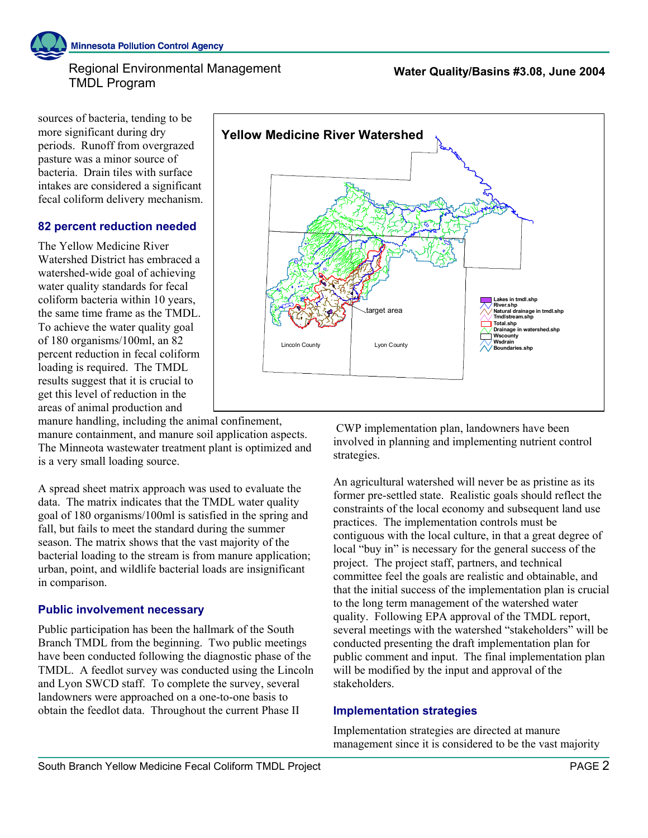#### Regional Environmental Management TMDL Program

sources of bacteria, tending to be more significant during dry periods. Runoff from overgrazed pasture was a minor source of bacteria. Drain tiles with surface intakes are considered a significant fecal coliform delivery mechanism.

#### **82 percent reduction needed**

The Yellow Medicine River Watershed District has embraced a watershed-wide goal of achieving water quality standards for fecal coliform bacteria within 10 years, the same time frame as the TMDL. To achieve the water quality goal of 180 organisms/100ml, an 82 percent reduction in fecal coliform loading is required. The TMDL results suggest that it is crucial to get this level of reduction in the areas of animal production and

manure handling, including the animal confinement, manure containment, and manure soil application aspects. The Minneota wastewater treatment plant is optimized and is a very small loading source.

A spread sheet matrix approach was used to evaluate the data. The matrix indicates that the TMDL water quality goal of 180 organisms/100ml is satisfied in the spring and fall, but fails to meet the standard during the summer season. The matrix shows that the vast majority of the bacterial loading to the stream is from manure application; urban, point, and wildlife bacterial loads are insignificant in comparison.

## **Public involvement necessary**

Public participation has been the hallmark of the South Branch TMDL from the beginning. Two public meetings have been conducted following the diagnostic phase of the TMDL. A feedlot survey was conducted using the Lincoln and Lyon SWCD staff. To complete the survey, several landowners were approached on a one-to-one basis to obtain the feedlot data. Throughout the current Phase II



 CWP implementation plan, landowners have been involved in planning and implementing nutrient control strategies.

An agricultural watershed will never be as pristine as its former pre-settled state. Realistic goals should reflect the constraints of the local economy and subsequent land use practices. The implementation controls must be contiguous with the local culture, in that a great degree of local "buy in" is necessary for the general success of the project. The project staff, partners, and technical committee feel the goals are realistic and obtainable, and that the initial success of the implementation plan is crucial to the long term management of the watershed water quality. Following EPA approval of the TMDL report, several meetings with the watershed "stakeholders" will be conducted presenting the draft implementation plan for public comment and input. The final implementation plan will be modified by the input and approval of the stakeholders.

#### **Implementation strategies**

Implementation strategies are directed at manure management since it is considered to be the vast majority